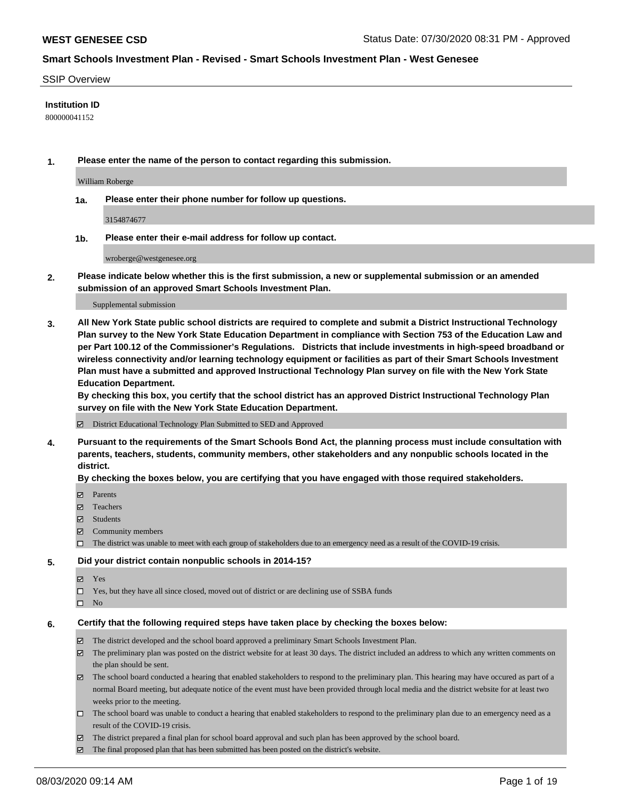#### SSIP Overview

### **Institution ID**

800000041152

**1. Please enter the name of the person to contact regarding this submission.**

William Roberge

**1a. Please enter their phone number for follow up questions.**

3154874677

**1b. Please enter their e-mail address for follow up contact.**

wroberge@westgenesee.org

**2. Please indicate below whether this is the first submission, a new or supplemental submission or an amended submission of an approved Smart Schools Investment Plan.**

#### Supplemental submission

**3. All New York State public school districts are required to complete and submit a District Instructional Technology Plan survey to the New York State Education Department in compliance with Section 753 of the Education Law and per Part 100.12 of the Commissioner's Regulations. Districts that include investments in high-speed broadband or wireless connectivity and/or learning technology equipment or facilities as part of their Smart Schools Investment Plan must have a submitted and approved Instructional Technology Plan survey on file with the New York State Education Department.** 

**By checking this box, you certify that the school district has an approved District Instructional Technology Plan survey on file with the New York State Education Department.**

District Educational Technology Plan Submitted to SED and Approved

**4. Pursuant to the requirements of the Smart Schools Bond Act, the planning process must include consultation with parents, teachers, students, community members, other stakeholders and any nonpublic schools located in the district.** 

#### **By checking the boxes below, you are certifying that you have engaged with those required stakeholders.**

- **Ø** Parents
- Teachers
- Students
- $\boxtimes$  Community members
- The district was unable to meet with each group of stakeholders due to an emergency need as a result of the COVID-19 crisis.

#### **5. Did your district contain nonpublic schools in 2014-15?**

- **冈** Yes
- Yes, but they have all since closed, moved out of district or are declining use of SSBA funds
- $\square$  No

#### **6. Certify that the following required steps have taken place by checking the boxes below:**

- The district developed and the school board approved a preliminary Smart Schools Investment Plan.
- $\boxtimes$  The preliminary plan was posted on the district website for at least 30 days. The district included an address to which any written comments on the plan should be sent.
- $\boxtimes$  The school board conducted a hearing that enabled stakeholders to respond to the preliminary plan. This hearing may have occured as part of a normal Board meeting, but adequate notice of the event must have been provided through local media and the district website for at least two weeks prior to the meeting.
- The school board was unable to conduct a hearing that enabled stakeholders to respond to the preliminary plan due to an emergency need as a result of the COVID-19 crisis.
- The district prepared a final plan for school board approval and such plan has been approved by the school board.
- $\boxtimes$  The final proposed plan that has been submitted has been posted on the district's website.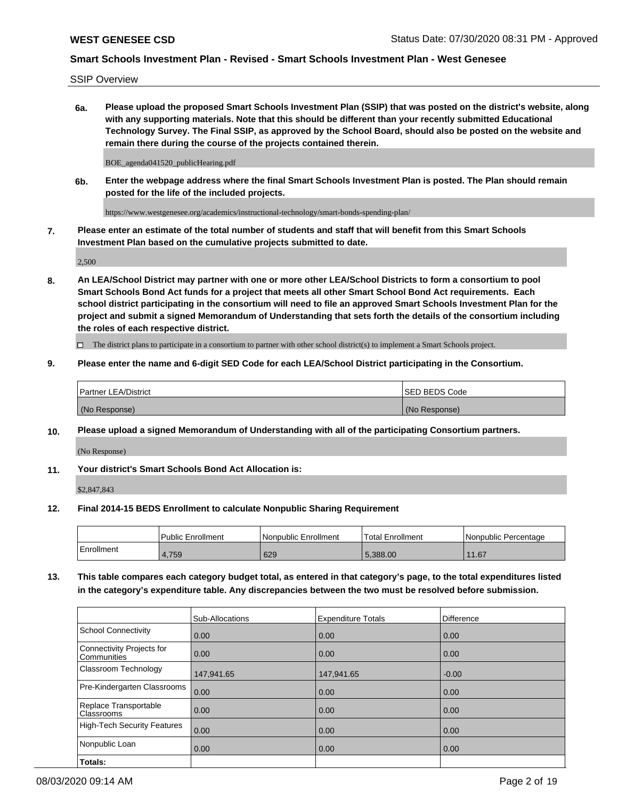SSIP Overview

**6a. Please upload the proposed Smart Schools Investment Plan (SSIP) that was posted on the district's website, along with any supporting materials. Note that this should be different than your recently submitted Educational Technology Survey. The Final SSIP, as approved by the School Board, should also be posted on the website and remain there during the course of the projects contained therein.**

BOE\_agenda041520\_publicHearing.pdf

**6b. Enter the webpage address where the final Smart Schools Investment Plan is posted. The Plan should remain posted for the life of the included projects.**

https://www.westgenesee.org/academics/instructional-technology/smart-bonds-spending-plan/

**7. Please enter an estimate of the total number of students and staff that will benefit from this Smart Schools Investment Plan based on the cumulative projects submitted to date.**

2,500

**8. An LEA/School District may partner with one or more other LEA/School Districts to form a consortium to pool Smart Schools Bond Act funds for a project that meets all other Smart School Bond Act requirements. Each school district participating in the consortium will need to file an approved Smart Schools Investment Plan for the project and submit a signed Memorandum of Understanding that sets forth the details of the consortium including the roles of each respective district.**

 $\Box$  The district plans to participate in a consortium to partner with other school district(s) to implement a Smart Schools project.

### **9. Please enter the name and 6-digit SED Code for each LEA/School District participating in the Consortium.**

| Partner LEA/District | <b>ISED BEDS Code</b> |
|----------------------|-----------------------|
| (No Response)        | (No Response)         |

### **10. Please upload a signed Memorandum of Understanding with all of the participating Consortium partners.**

(No Response)

**11. Your district's Smart Schools Bond Act Allocation is:**

\$2,847,843

#### **12. Final 2014-15 BEDS Enrollment to calculate Nonpublic Sharing Requirement**

|            | Public Enrollment | Nonpublic Enrollment | Total Enrollment | l Nonpublic Percentage |
|------------|-------------------|----------------------|------------------|------------------------|
| Enrollment | 1.759             | 629                  | 5.388.00         | 1.67                   |

**13. This table compares each category budget total, as entered in that category's page, to the total expenditures listed in the category's expenditure table. Any discrepancies between the two must be resolved before submission.**

|                                          | Sub-Allocations | <b>Expenditure Totals</b> | <b>Difference</b> |
|------------------------------------------|-----------------|---------------------------|-------------------|
| <b>School Connectivity</b>               | 0.00            | 0.00                      | 0.00              |
| Connectivity Projects for<br>Communities | 0.00            | 0.00                      | 0.00              |
| Classroom Technology                     | 147,941.65      | 147,941.65                | $-0.00$           |
| Pre-Kindergarten Classrooms              | 0.00            | 0.00                      | 0.00              |
| Replace Transportable<br>Classrooms      | 0.00            | 0.00                      | 0.00              |
| <b>High-Tech Security Features</b>       | 0.00            | 0.00                      | 0.00              |
| Nonpublic Loan                           | 0.00            | 0.00                      | 0.00              |
| Totals:                                  |                 |                           |                   |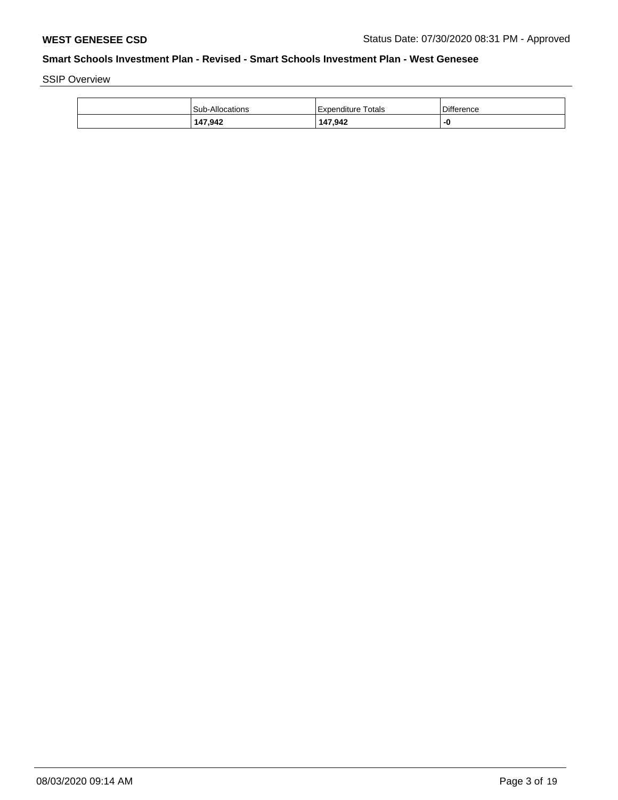SSIP Overview

| <b>Sub-Allocations</b> | Expenditure Totals | Difference |
|------------------------|--------------------|------------|
| 147.942                | 147,942            | -0         |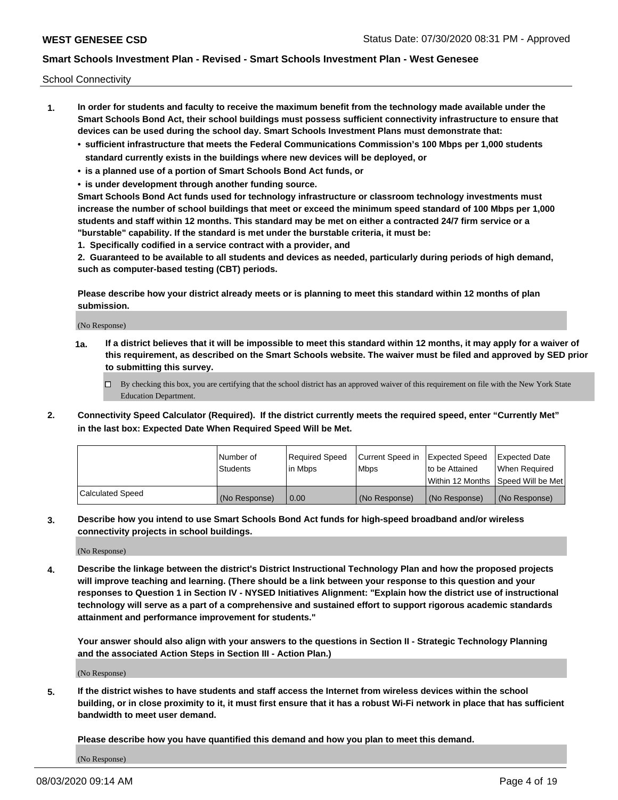School Connectivity

- **1. In order for students and faculty to receive the maximum benefit from the technology made available under the Smart Schools Bond Act, their school buildings must possess sufficient connectivity infrastructure to ensure that devices can be used during the school day. Smart Schools Investment Plans must demonstrate that:**
	- **• sufficient infrastructure that meets the Federal Communications Commission's 100 Mbps per 1,000 students standard currently exists in the buildings where new devices will be deployed, or**
	- **• is a planned use of a portion of Smart Schools Bond Act funds, or**
	- **• is under development through another funding source.**

**Smart Schools Bond Act funds used for technology infrastructure or classroom technology investments must increase the number of school buildings that meet or exceed the minimum speed standard of 100 Mbps per 1,000 students and staff within 12 months. This standard may be met on either a contracted 24/7 firm service or a "burstable" capability. If the standard is met under the burstable criteria, it must be:**

**1. Specifically codified in a service contract with a provider, and**

**2. Guaranteed to be available to all students and devices as needed, particularly during periods of high demand, such as computer-based testing (CBT) periods.**

**Please describe how your district already meets or is planning to meet this standard within 12 months of plan submission.**

(No Response)

**1a. If a district believes that it will be impossible to meet this standard within 12 months, it may apply for a waiver of this requirement, as described on the Smart Schools website. The waiver must be filed and approved by SED prior to submitting this survey.**

 $\Box$  By checking this box, you are certifying that the school district has an approved waiver of this requirement on file with the New York State Education Department.

**2. Connectivity Speed Calculator (Required). If the district currently meets the required speed, enter "Currently Met" in the last box: Expected Date When Required Speed Will be Met.**

|                  | l Number of     | Reauired Speed | Current Speed in | Expected Speed | Expected Date                       |
|------------------|-----------------|----------------|------------------|----------------|-------------------------------------|
|                  | <b>Students</b> | l in Mbps      | l Mbps           | to be Attained | When Required                       |
|                  |                 |                |                  |                | Within 12 Months ISpeed Will be Met |
| Calculated Speed | (No Response)   | 0.00           | (No Response)    | (No Response)  | (No Response)                       |

**3. Describe how you intend to use Smart Schools Bond Act funds for high-speed broadband and/or wireless connectivity projects in school buildings.**

(No Response)

**4. Describe the linkage between the district's District Instructional Technology Plan and how the proposed projects will improve teaching and learning. (There should be a link between your response to this question and your responses to Question 1 in Section IV - NYSED Initiatives Alignment: "Explain how the district use of instructional technology will serve as a part of a comprehensive and sustained effort to support rigorous academic standards attainment and performance improvement for students."** 

**Your answer should also align with your answers to the questions in Section II - Strategic Technology Planning and the associated Action Steps in Section III - Action Plan.)**

(No Response)

**5. If the district wishes to have students and staff access the Internet from wireless devices within the school building, or in close proximity to it, it must first ensure that it has a robust Wi-Fi network in place that has sufficient bandwidth to meet user demand.**

**Please describe how you have quantified this demand and how you plan to meet this demand.**

(No Response)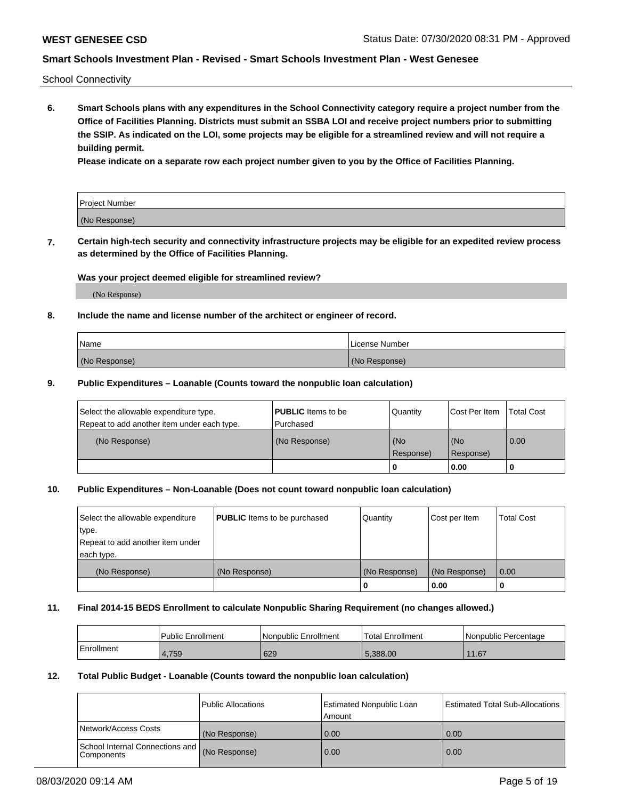School Connectivity

**6. Smart Schools plans with any expenditures in the School Connectivity category require a project number from the Office of Facilities Planning. Districts must submit an SSBA LOI and receive project numbers prior to submitting the SSIP. As indicated on the LOI, some projects may be eligible for a streamlined review and will not require a building permit.**

**Please indicate on a separate row each project number given to you by the Office of Facilities Planning.**

| Project Number |  |
|----------------|--|
| (No Response)  |  |

**7. Certain high-tech security and connectivity infrastructure projects may be eligible for an expedited review process as determined by the Office of Facilities Planning.**

### **Was your project deemed eligible for streamlined review?**

(No Response)

### **8. Include the name and license number of the architect or engineer of record.**

| Name          | License Number |
|---------------|----------------|
| (No Response) | (No Response)  |

### **9. Public Expenditures – Loanable (Counts toward the nonpublic loan calculation)**

| Select the allowable expenditure type.<br>Repeat to add another item under each type. | <b>PUBLIC</b> Items to be<br>l Purchased | Quantity           | Cost Per Item    | <b>Total Cost</b> |
|---------------------------------------------------------------------------------------|------------------------------------------|--------------------|------------------|-------------------|
| (No Response)                                                                         | (No Response)                            | l (No<br>Response) | (No<br>Response) | $\overline{0.00}$ |
|                                                                                       |                                          | O                  | 0.00             |                   |

### **10. Public Expenditures – Non-Loanable (Does not count toward nonpublic loan calculation)**

| Select the allowable expenditure | <b>PUBLIC</b> Items to be purchased | Quantity      | Cost per Item | <b>Total Cost</b> |
|----------------------------------|-------------------------------------|---------------|---------------|-------------------|
| type.                            |                                     |               |               |                   |
| Repeat to add another item under |                                     |               |               |                   |
| each type.                       |                                     |               |               |                   |
| (No Response)                    | (No Response)                       | (No Response) | (No Response) | 0.00              |
|                                  |                                     |               | 0.00          |                   |

#### **11. Final 2014-15 BEDS Enrollment to calculate Nonpublic Sharing Requirement (no changes allowed.)**

|            | Public Enrollment | Nonpublic Enrollment | 'Total Enrollment | l Nonpublic Percentage |
|------------|-------------------|----------------------|-------------------|------------------------|
| Enrollment | 4,759             | 629                  | 5.388.00          | 11.67                  |

### **12. Total Public Budget - Loanable (Counts toward the nonpublic loan calculation)**

|                                                      | Public Allocations | <b>Estimated Nonpublic Loan</b><br>Amount | Estimated Total Sub-Allocations |
|------------------------------------------------------|--------------------|-------------------------------------------|---------------------------------|
| Network/Access Costs                                 | (No Response)      | 0.00                                      | 0.00                            |
| School Internal Connections and<br><b>Components</b> | (No Response)      | 0.00                                      | 0.00                            |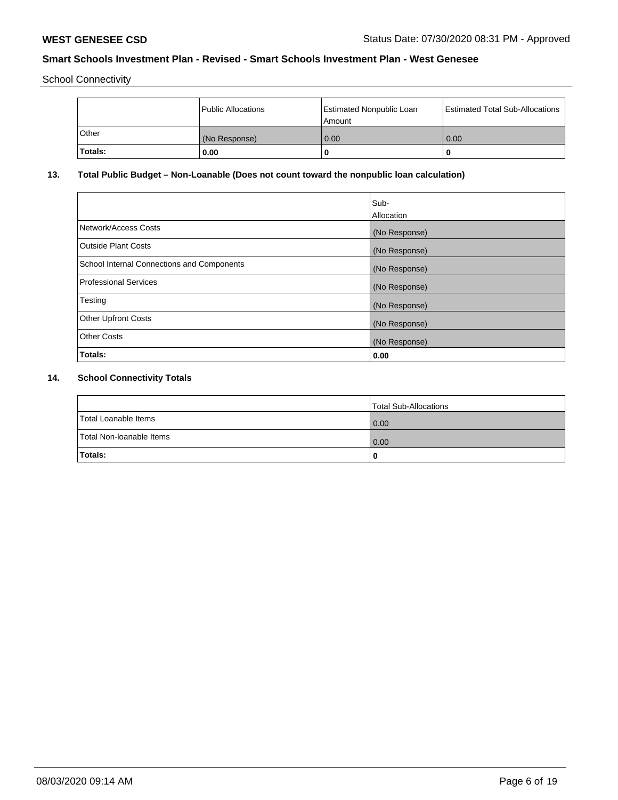School Connectivity

|          | Public Allocations | Estimated Nonpublic Loan<br>l Amount | Estimated Total Sub-Allocations |
|----------|--------------------|--------------------------------------|---------------------------------|
| l Other  | (No Response)      | 0.00                                 | 0.00                            |
| 'Totals: | 0.00               | 0                                    | 0                               |

# **13. Total Public Budget – Non-Loanable (Does not count toward the nonpublic loan calculation)**

|                                                   | Sub-<br>Allocation |
|---------------------------------------------------|--------------------|
|                                                   |                    |
| Network/Access Costs                              | (No Response)      |
| <b>Outside Plant Costs</b>                        | (No Response)      |
| <b>School Internal Connections and Components</b> | (No Response)      |
| Professional Services                             | (No Response)      |
| Testing                                           | (No Response)      |
| <b>Other Upfront Costs</b>                        | (No Response)      |
| <b>Other Costs</b>                                | (No Response)      |
| <b>Totals:</b>                                    | 0.00               |

# **14. School Connectivity Totals**

|                          | Total Sub-Allocations |
|--------------------------|-----------------------|
| Total Loanable Items     | 0.00                  |
| Total Non-Ioanable Items | 0.00                  |
| Totals:                  | 0                     |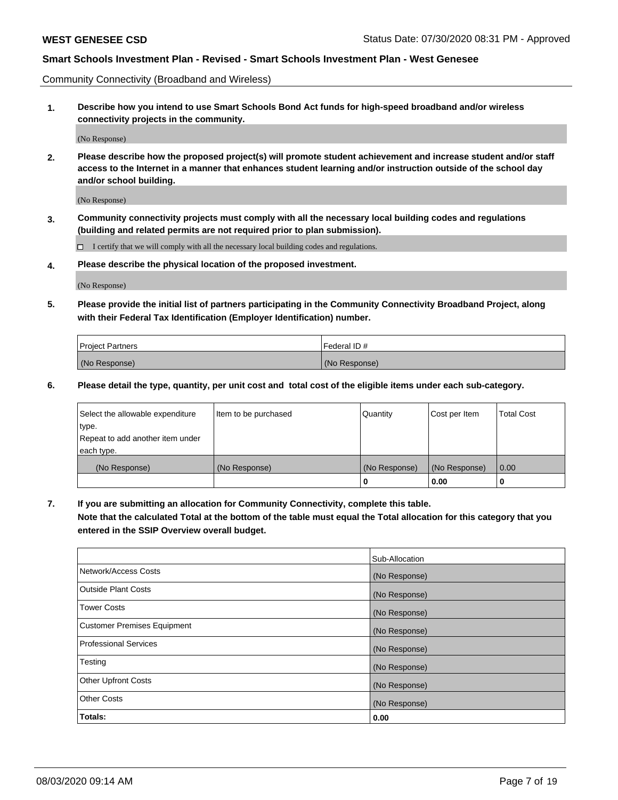Community Connectivity (Broadband and Wireless)

**1. Describe how you intend to use Smart Schools Bond Act funds for high-speed broadband and/or wireless connectivity projects in the community.**

(No Response)

**2. Please describe how the proposed project(s) will promote student achievement and increase student and/or staff access to the Internet in a manner that enhances student learning and/or instruction outside of the school day and/or school building.**

(No Response)

**3. Community connectivity projects must comply with all the necessary local building codes and regulations (building and related permits are not required prior to plan submission).**

 $\Box$  I certify that we will comply with all the necessary local building codes and regulations.

**4. Please describe the physical location of the proposed investment.**

(No Response)

**5. Please provide the initial list of partners participating in the Community Connectivity Broadband Project, along with their Federal Tax Identification (Employer Identification) number.**

| <b>Project Partners</b> | l Federal ID # |
|-------------------------|----------------|
| (No Response)           | (No Response)  |

**6. Please detail the type, quantity, per unit cost and total cost of the eligible items under each sub-category.**

| Select the allowable expenditure | Item to be purchased | Quantity      | Cost per Item | <b>Total Cost</b> |
|----------------------------------|----------------------|---------------|---------------|-------------------|
| type.                            |                      |               |               |                   |
| Repeat to add another item under |                      |               |               |                   |
| each type.                       |                      |               |               |                   |
| (No Response)                    | (No Response)        | (No Response) | (No Response) | 0.00              |
|                                  |                      | o             | 0.00          |                   |

**7. If you are submitting an allocation for Community Connectivity, complete this table.**

**Note that the calculated Total at the bottom of the table must equal the Total allocation for this category that you entered in the SSIP Overview overall budget.**

|                                    | Sub-Allocation |
|------------------------------------|----------------|
| Network/Access Costs               | (No Response)  |
| Outside Plant Costs                | (No Response)  |
| <b>Tower Costs</b>                 | (No Response)  |
| <b>Customer Premises Equipment</b> | (No Response)  |
| <b>Professional Services</b>       | (No Response)  |
| Testing                            | (No Response)  |
| <b>Other Upfront Costs</b>         | (No Response)  |
| <b>Other Costs</b>                 | (No Response)  |
| Totals:                            | 0.00           |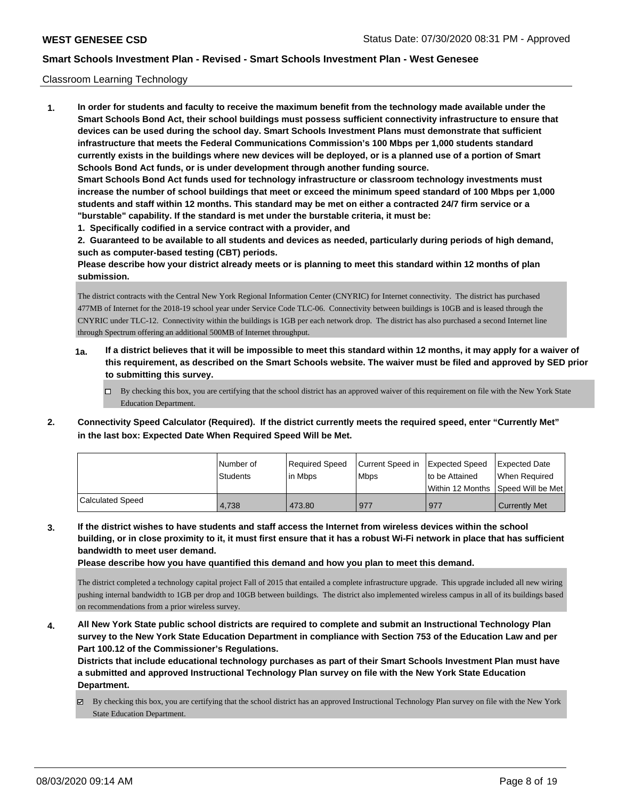### Classroom Learning Technology

**1. In order for students and faculty to receive the maximum benefit from the technology made available under the Smart Schools Bond Act, their school buildings must possess sufficient connectivity infrastructure to ensure that devices can be used during the school day. Smart Schools Investment Plans must demonstrate that sufficient infrastructure that meets the Federal Communications Commission's 100 Mbps per 1,000 students standard currently exists in the buildings where new devices will be deployed, or is a planned use of a portion of Smart Schools Bond Act funds, or is under development through another funding source. Smart Schools Bond Act funds used for technology infrastructure or classroom technology investments must increase the number of school buildings that meet or exceed the minimum speed standard of 100 Mbps per 1,000 students and staff within 12 months. This standard may be met on either a contracted 24/7 firm service or a "burstable" capability. If the standard is met under the burstable criteria, it must be:**

**1. Specifically codified in a service contract with a provider, and**

**2. Guaranteed to be available to all students and devices as needed, particularly during periods of high demand, such as computer-based testing (CBT) periods.**

**Please describe how your district already meets or is planning to meet this standard within 12 months of plan submission.**

The district contracts with the Central New York Regional Information Center (CNYRIC) for Internet connectivity. The district has purchased 477MB of Internet for the 2018-19 school year under Service Code TLC-06. Connectivity between buildings is 10GB and is leased through the CNYRIC under TLC-12. Connectivity within the buildings is 1GB per each network drop. The district has also purchased a second Internet line through Spectrum offering an additional 500MB of Internet throughput.

- **1a. If a district believes that it will be impossible to meet this standard within 12 months, it may apply for a waiver of this requirement, as described on the Smart Schools website. The waiver must be filed and approved by SED prior to submitting this survey.**
	- By checking this box, you are certifying that the school district has an approved waiver of this requirement on file with the New York State Education Department.
- **2. Connectivity Speed Calculator (Required). If the district currently meets the required speed, enter "Currently Met" in the last box: Expected Date When Required Speed Will be Met.**

|                  | l Number of | Reauired Speed | Current Speed in Expected Speed | to be Attained                          | <b>Expected Date</b> |
|------------------|-------------|----------------|---------------------------------|-----------------------------------------|----------------------|
|                  | Students    | l in Mbps      | <b>Mbps</b>                     | l Within 12 Months ISpeed Will be Met l | When Required        |
| Calculated Speed | 4,738       | 473.80         | 977                             | 977                                     | <b>Currently Met</b> |

**3. If the district wishes to have students and staff access the Internet from wireless devices within the school building, or in close proximity to it, it must first ensure that it has a robust Wi-Fi network in place that has sufficient bandwidth to meet user demand.**

**Please describe how you have quantified this demand and how you plan to meet this demand.**

The district completed a technology capital project Fall of 2015 that entailed a complete infrastructure upgrade. This upgrade included all new wiring pushing internal bandwidth to 1GB per drop and 10GB between buildings. The district also implemented wireless campus in all of its buildings based on recommendations from a prior wireless survey.

**4. All New York State public school districts are required to complete and submit an Instructional Technology Plan survey to the New York State Education Department in compliance with Section 753 of the Education Law and per Part 100.12 of the Commissioner's Regulations.**

**Districts that include educational technology purchases as part of their Smart Schools Investment Plan must have a submitted and approved Instructional Technology Plan survey on file with the New York State Education Department.**

 $\boxtimes$  By checking this box, you are certifying that the school district has an approved Instructional Technology Plan survey on file with the New York State Education Department.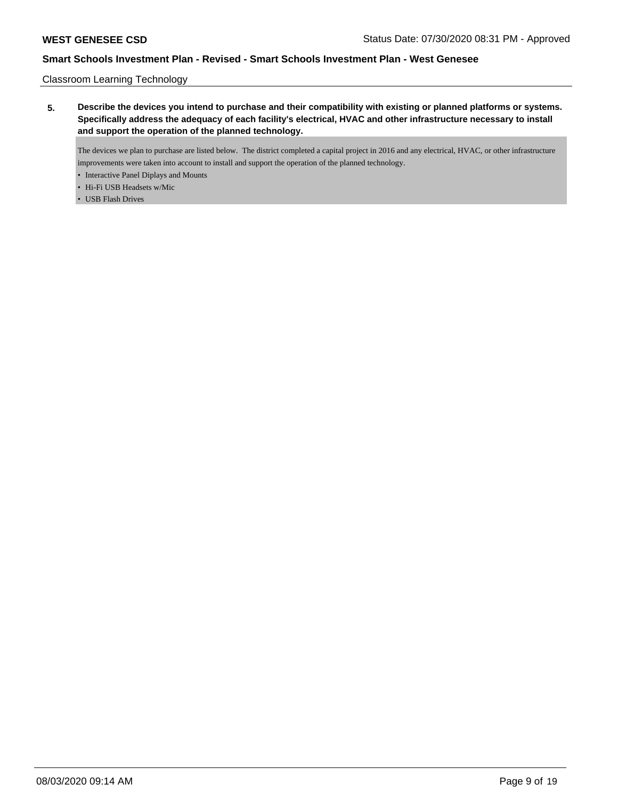Classroom Learning Technology

**5. Describe the devices you intend to purchase and their compatibility with existing or planned platforms or systems. Specifically address the adequacy of each facility's electrical, HVAC and other infrastructure necessary to install and support the operation of the planned technology.**

The devices we plan to purchase are listed below. The district completed a capital project in 2016 and any electrical, HVAC, or other infrastructure improvements were taken into account to install and support the operation of the planned technology.

- Interactive Panel Diplays and Mounts
- Hi-Fi USB Headsets w/Mic
- USB Flash Drives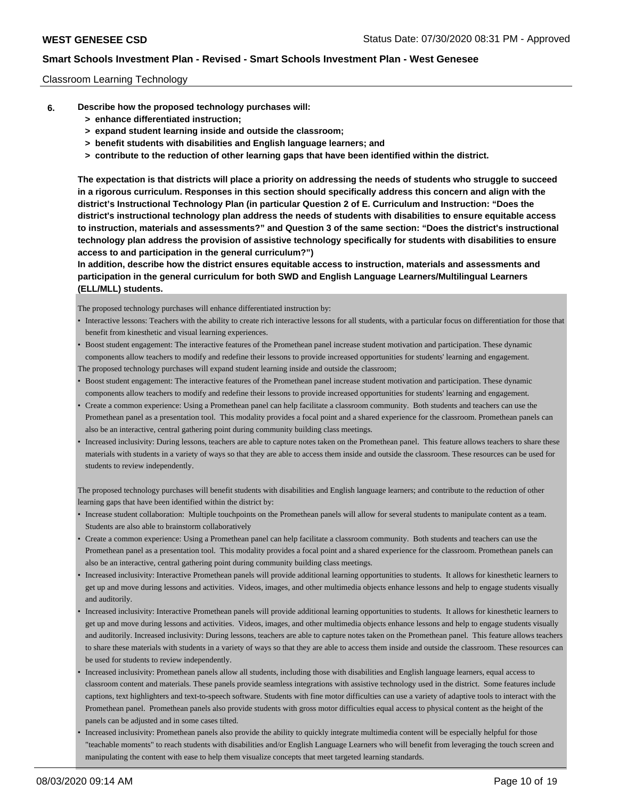### Classroom Learning Technology

- **6. Describe how the proposed technology purchases will:**
	- **> enhance differentiated instruction;**
	- **> expand student learning inside and outside the classroom;**
	- **> benefit students with disabilities and English language learners; and**
	- **> contribute to the reduction of other learning gaps that have been identified within the district.**

**The expectation is that districts will place a priority on addressing the needs of students who struggle to succeed in a rigorous curriculum. Responses in this section should specifically address this concern and align with the district's Instructional Technology Plan (in particular Question 2 of E. Curriculum and Instruction: "Does the district's instructional technology plan address the needs of students with disabilities to ensure equitable access to instruction, materials and assessments?" and Question 3 of the same section: "Does the district's instructional technology plan address the provision of assistive technology specifically for students with disabilities to ensure access to and participation in the general curriculum?")**

**In addition, describe how the district ensures equitable access to instruction, materials and assessments and participation in the general curriculum for both SWD and English Language Learners/Multilingual Learners (ELL/MLL) students.**

The proposed technology purchases will enhance differentiated instruction by:

- Interactive lessons: Teachers with the ability to create rich interactive lessons for all students, with a particular focus on differentiation for those that benefit from kinesthetic and visual learning experiences.
- Boost student engagement: The interactive features of the Promethean panel increase student motivation and participation. These dynamic components allow teachers to modify and redefine their lessons to provide increased opportunities for students' learning and engagement. The proposed technology purchases will expand student learning inside and outside the classroom;
- Boost student engagement: The interactive features of the Promethean panel increase student motivation and participation. These dynamic components allow teachers to modify and redefine their lessons to provide increased opportunities for students' learning and engagement.
- Create a common experience: Using a Promethean panel can help facilitate a classroom community. Both students and teachers can use the Promethean panel as a presentation tool. This modality provides a focal point and a shared experience for the classroom. Promethean panels can also be an interactive, central gathering point during community building class meetings.
- Increased inclusivity: During lessons, teachers are able to capture notes taken on the Promethean panel. This feature allows teachers to share these materials with students in a variety of ways so that they are able to access them inside and outside the classroom. These resources can be used for students to review independently.

The proposed technology purchases will benefit students with disabilities and English language learners; and contribute to the reduction of other learning gaps that have been identified within the district by:

- Increase student collaboration: Multiple touchpoints on the Promethean panels will allow for several students to manipulate content as a team. Students are also able to brainstorm collaboratively
- Create a common experience: Using a Promethean panel can help facilitate a classroom community. Both students and teachers can use the Promethean panel as a presentation tool. This modality provides a focal point and a shared experience for the classroom. Promethean panels can also be an interactive, central gathering point during community building class meetings.
- Increased inclusivity: Interactive Promethean panels will provide additional learning opportunities to students. It allows for kinesthetic learners to get up and move during lessons and activities. Videos, images, and other multimedia objects enhance lessons and help to engage students visually and auditorily.
- Increased inclusivity: Interactive Promethean panels will provide additional learning opportunities to students. It allows for kinesthetic learners to get up and move during lessons and activities. Videos, images, and other multimedia objects enhance lessons and help to engage students visually and auditorily. Increased inclusivity: During lessons, teachers are able to capture notes taken on the Promethean panel. This feature allows teachers to share these materials with students in a variety of ways so that they are able to access them inside and outside the classroom. These resources can be used for students to review independently.
- Increased inclusivity: Promethean panels allow all students, including those with disabilities and English language learners, equal access to classroom content and materials. These panels provide seamless integrations with assistive technology used in the district. Some features include captions, text highlighters and text-to-speech software. Students with fine motor difficulties can use a variety of adaptive tools to interact with the Promethean panel. Promethean panels also provide students with gross motor difficulties equal access to physical content as the height of the panels can be adjusted and in some cases tilted.
- Increased inclusivity: Promethean panels also provide the ability to quickly integrate multimedia content will be especially helpful for those "teachable moments" to reach students with disabilities and/or English Language Learners who will benefit from leveraging the touch screen and manipulating the content with ease to help them visualize concepts that meet targeted learning standards.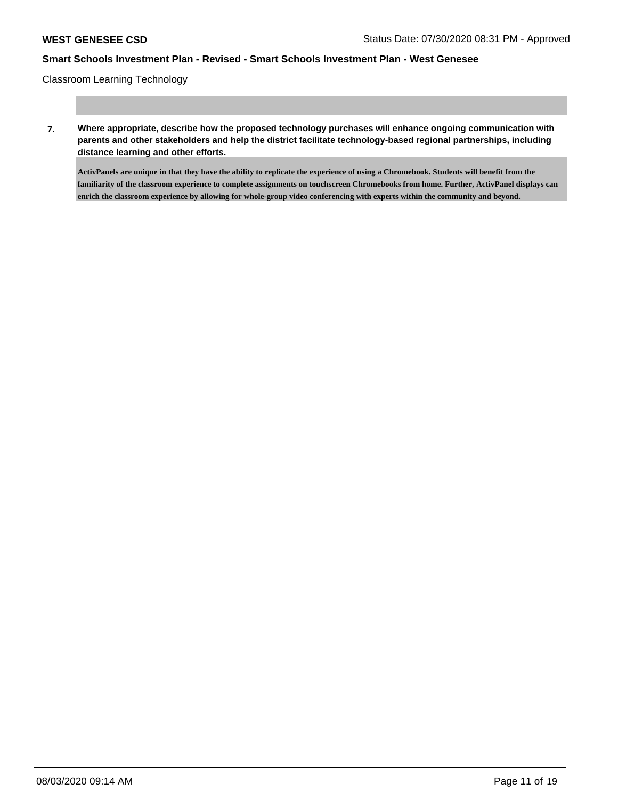Classroom Learning Technology

**7. Where appropriate, describe how the proposed technology purchases will enhance ongoing communication with parents and other stakeholders and help the district facilitate technology-based regional partnerships, including distance learning and other efforts.**

**ActivPanels are unique in that they have the ability to replicate the experience of using a Chromebook. Students will benefit from the familiarity of the classroom experience to complete assignments on touchscreen Chromebooks from home. Further, ActivPanel displays can enrich the classroom experience by allowing for whole-group video conferencing with experts within the community and beyond.**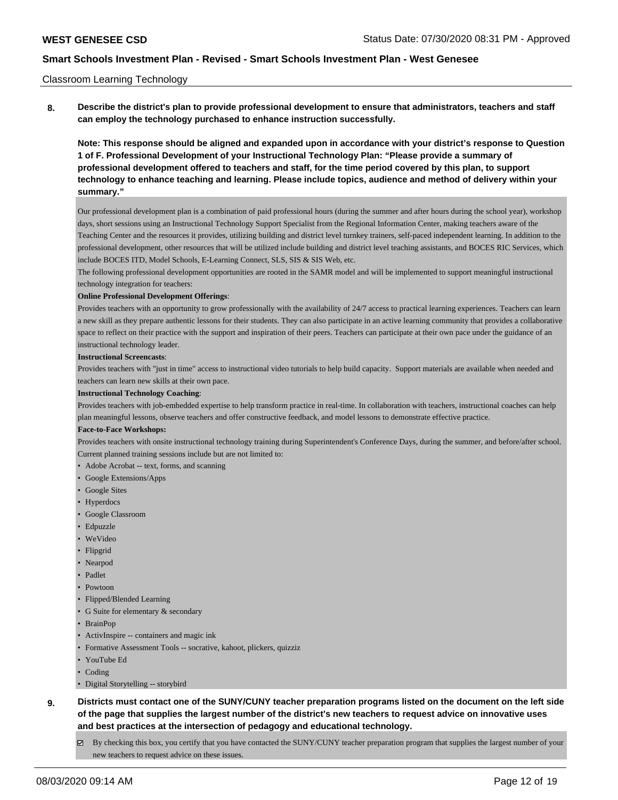### Classroom Learning Technology

**8. Describe the district's plan to provide professional development to ensure that administrators, teachers and staff can employ the technology purchased to enhance instruction successfully.**

**Note: This response should be aligned and expanded upon in accordance with your district's response to Question 1 of F. Professional Development of your Instructional Technology Plan: "Please provide a summary of professional development offered to teachers and staff, for the time period covered by this plan, to support technology to enhance teaching and learning. Please include topics, audience and method of delivery within your summary."**

Our professional development plan is a combination of paid professional hours (during the summer and after hours during the school year), workshop days, short sessions using an Instructional Technology Support Specialist from the Regional Information Center, making teachers aware of the Teaching Center and the resources it provides, utilizing building and district level turnkey trainers, self-paced independent learning. In addition to the professional development, other resources that will be utilized include building and district level teaching assistants, and BOCES RIC Services, which include BOCES ITD, Model Schools, E-Learning Connect, SLS, SIS & SIS Web, etc.

The following professional development opportunities are rooted in the SAMR model and will be implemented to support meaningful instructional technology integration for teachers:

#### **Online Professional Development Offerings**:

Provides teachers with an opportunity to grow professionally with the availability of 24/7 access to practical learning experiences. Teachers can learn a new skill as they prepare authentic lessons for their students. They can also participate in an active learning community that provides a collaborative space to reflect on their practice with the support and inspiration of their peers. Teachers can participate at their own pace under the guidance of an instructional technology leader.

#### **Instructional Screencasts**:

Provides teachers with "just in time" access to instructional video tutorials to help build capacity. Support materials are available when needed and teachers can learn new skills at their own pace.

#### **Instructional Technology Coaching**:

Provides teachers with job-embedded expertise to help transform practice in real-time. In collaboration with teachers, instructional coaches can help plan meaningful lessons, observe teachers and offer constructive feedback, and model lessons to demonstrate effective practice.

#### **Face-to-Face Workshops:**

Provides teachers with onsite instructional technology training during Superintendent's Conference Days, during the summer, and before/after school. Current planned training sessions include but are not limited to:

• Adobe Acrobat -- text, forms, and scanning

- Google Extensions/Apps
- Google Sites
- Hyperdocs
- Google Classroom
- Edpuzzle
- WeVideo
- Flipgrid
- Nearpod
- Padlet
- Powtoon
- Flipped/Blended Learning
- G Suite for elementary & secondary
- BrainPop
- ActivInspire -- containers and magic ink
- Formative Assessment Tools -- socrative, kahoot, plickers, quizziz
- YouTube Ed
- Coding
- Digital Storytelling -- storybird
- **9. Districts must contact one of the SUNY/CUNY teacher preparation programs listed on the document on the left side of the page that supplies the largest number of the district's new teachers to request advice on innovative uses and best practices at the intersection of pedagogy and educational technology.**
	- By checking this box, you certify that you have contacted the SUNY/CUNY teacher preparation program that supplies the largest number of your new teachers to request advice on these issues.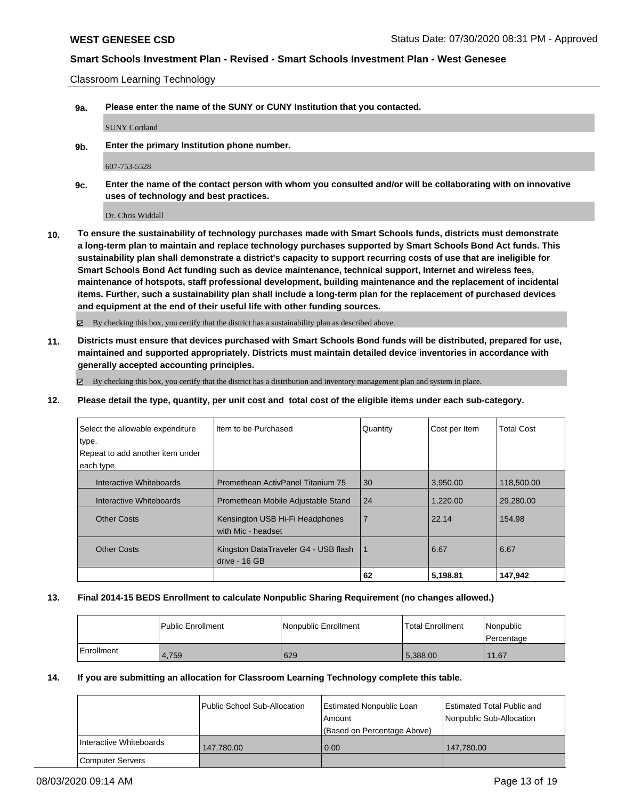Classroom Learning Technology

**9a. Please enter the name of the SUNY or CUNY Institution that you contacted.**

SUNY Cortland

**9b. Enter the primary Institution phone number.**

607-753-5528

**9c. Enter the name of the contact person with whom you consulted and/or will be collaborating with on innovative uses of technology and best practices.**

Dr. Chris Widdall

**10. To ensure the sustainability of technology purchases made with Smart Schools funds, districts must demonstrate a long-term plan to maintain and replace technology purchases supported by Smart Schools Bond Act funds. This sustainability plan shall demonstrate a district's capacity to support recurring costs of use that are ineligible for Smart Schools Bond Act funding such as device maintenance, technical support, Internet and wireless fees, maintenance of hotspots, staff professional development, building maintenance and the replacement of incidental items. Further, such a sustainability plan shall include a long-term plan for the replacement of purchased devices and equipment at the end of their useful life with other funding sources.**

By checking this box, you certify that the district has a sustainability plan as described above.

**11. Districts must ensure that devices purchased with Smart Schools Bond funds will be distributed, prepared for use, maintained and supported appropriately. Districts must maintain detailed device inventories in accordance with generally accepted accounting principles.**

 $\boxtimes$  By checking this box, you certify that the district has a distribution and inventory management plan and system in place.

**12. Please detail the type, quantity, per unit cost and total cost of the eligible items under each sub-category.**

| Select the allowable expenditure<br>type. | I Item to be Purchased                                | Quantity       | Cost per Item | <b>Total Cost</b> |
|-------------------------------------------|-------------------------------------------------------|----------------|---------------|-------------------|
| Repeat to add another item under          |                                                       |                |               |                   |
| each type.                                |                                                       |                |               |                   |
| Interactive Whiteboards                   | Promethean ActivPanel Titanium 75                     | 30             | 3,950.00      | 118,500.00        |
| Interactive Whiteboards                   | Promethean Mobile Adjustable Stand                    | 24             | 1,220.00      | 29,280,00         |
| <b>Other Costs</b>                        | Kensington USB Hi-Fi Headphones<br>with Mic - headset | $\overline{7}$ | 22.14         | 154.98            |
| <b>Other Costs</b>                        | Kingston DataTraveler G4 - USB flash<br>drive - 16 GB | 1              | 6.67          | 6.67              |
|                                           |                                                       | 62             | 5,198.81      | 147,942           |

### **13. Final 2014-15 BEDS Enrollment to calculate Nonpublic Sharing Requirement (no changes allowed.)**

|            | Public Enrollment | <b>Nonpublic Enrollment</b> | <b>Total Enrollment</b> | <i>Nonpublic</i><br>l Percentage |
|------------|-------------------|-----------------------------|-------------------------|----------------------------------|
| Enrollment | 4.759             | 629                         | 5,388.00                | 11.67                            |

### **14. If you are submitting an allocation for Classroom Learning Technology complete this table.**

|                         | Public School Sub-Allocation | Estimated Nonpublic Loan<br>l Amount<br>(Based on Percentage Above) | Estimated Total Public and<br>Nonpublic Sub-Allocation |
|-------------------------|------------------------------|---------------------------------------------------------------------|--------------------------------------------------------|
| Interactive Whiteboards | 147.780.00                   | 0.00                                                                | 147.780.00                                             |
| <b>Computer Servers</b> |                              |                                                                     |                                                        |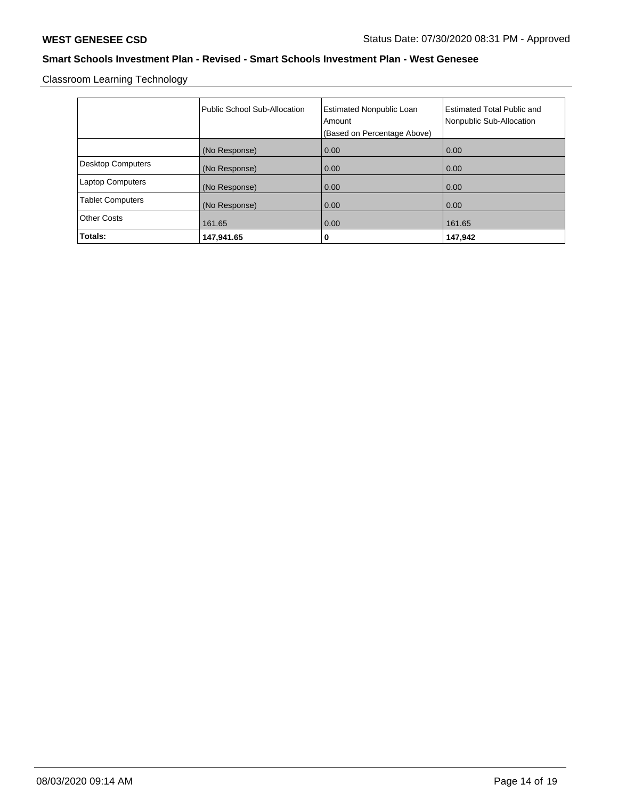Classroom Learning Technology

|                          | Public School Sub-Allocation | <b>Estimated Nonpublic Loan</b><br>Amount<br>(Based on Percentage Above) | <b>Estimated Total Public and</b><br>Nonpublic Sub-Allocation |
|--------------------------|------------------------------|--------------------------------------------------------------------------|---------------------------------------------------------------|
|                          | (No Response)                | 0.00                                                                     | 0.00                                                          |
| <b>Desktop Computers</b> | (No Response)                | 0.00                                                                     | 0.00                                                          |
| <b>Laptop Computers</b>  | (No Response)                | 0.00                                                                     | 0.00                                                          |
| <b>Tablet Computers</b>  | (No Response)                | 0.00                                                                     | 0.00                                                          |
| <b>Other Costs</b>       | 161.65                       | 0.00                                                                     | 161.65                                                        |
| Totals:                  | 147,941.65                   | 0                                                                        | 147,942                                                       |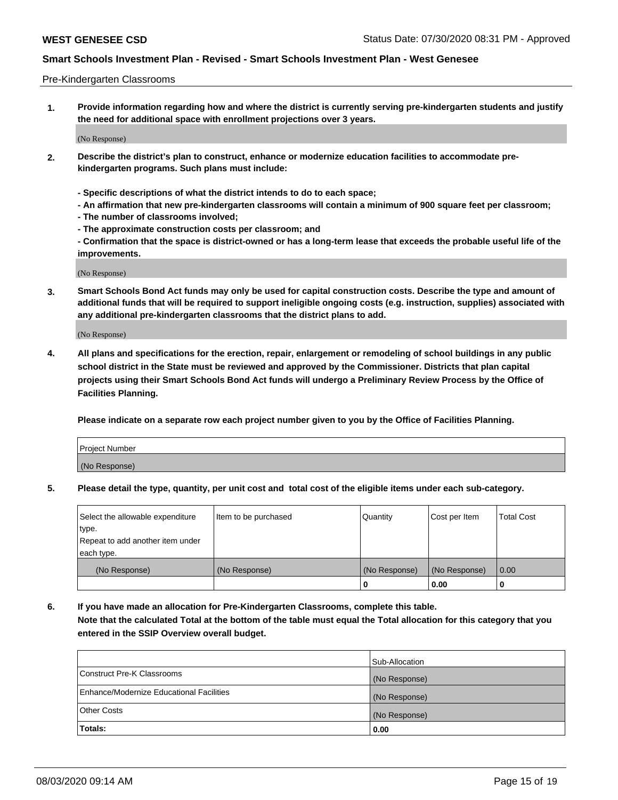#### Pre-Kindergarten Classrooms

**1. Provide information regarding how and where the district is currently serving pre-kindergarten students and justify the need for additional space with enrollment projections over 3 years.**

(No Response)

- **2. Describe the district's plan to construct, enhance or modernize education facilities to accommodate prekindergarten programs. Such plans must include:**
	- **Specific descriptions of what the district intends to do to each space;**
	- **An affirmation that new pre-kindergarten classrooms will contain a minimum of 900 square feet per classroom;**
	- **The number of classrooms involved;**
	- **The approximate construction costs per classroom; and**
	- **Confirmation that the space is district-owned or has a long-term lease that exceeds the probable useful life of the improvements.**

(No Response)

**3. Smart Schools Bond Act funds may only be used for capital construction costs. Describe the type and amount of additional funds that will be required to support ineligible ongoing costs (e.g. instruction, supplies) associated with any additional pre-kindergarten classrooms that the district plans to add.**

(No Response)

**4. All plans and specifications for the erection, repair, enlargement or remodeling of school buildings in any public school district in the State must be reviewed and approved by the Commissioner. Districts that plan capital projects using their Smart Schools Bond Act funds will undergo a Preliminary Review Process by the Office of Facilities Planning.**

**Please indicate on a separate row each project number given to you by the Office of Facilities Planning.**

| Project Number |  |
|----------------|--|
| (No Response)  |  |
|                |  |

**5. Please detail the type, quantity, per unit cost and total cost of the eligible items under each sub-category.**

| Select the allowable expenditure | Item to be purchased | Quantity      | Cost per Item | <b>Total Cost</b> |
|----------------------------------|----------------------|---------------|---------------|-------------------|
| type.                            |                      |               |               |                   |
| Repeat to add another item under |                      |               |               |                   |
| each type.                       |                      |               |               |                   |
| (No Response)                    | (No Response)        | (No Response) | (No Response) | 0.00              |
|                                  |                      | U             | 0.00          |                   |

**6. If you have made an allocation for Pre-Kindergarten Classrooms, complete this table. Note that the calculated Total at the bottom of the table must equal the Total allocation for this category that you entered in the SSIP Overview overall budget.**

|                                          | Sub-Allocation |
|------------------------------------------|----------------|
| Construct Pre-K Classrooms               | (No Response)  |
| Enhance/Modernize Educational Facilities | (No Response)  |
| <b>Other Costs</b>                       | (No Response)  |
| Totals:                                  | 0.00           |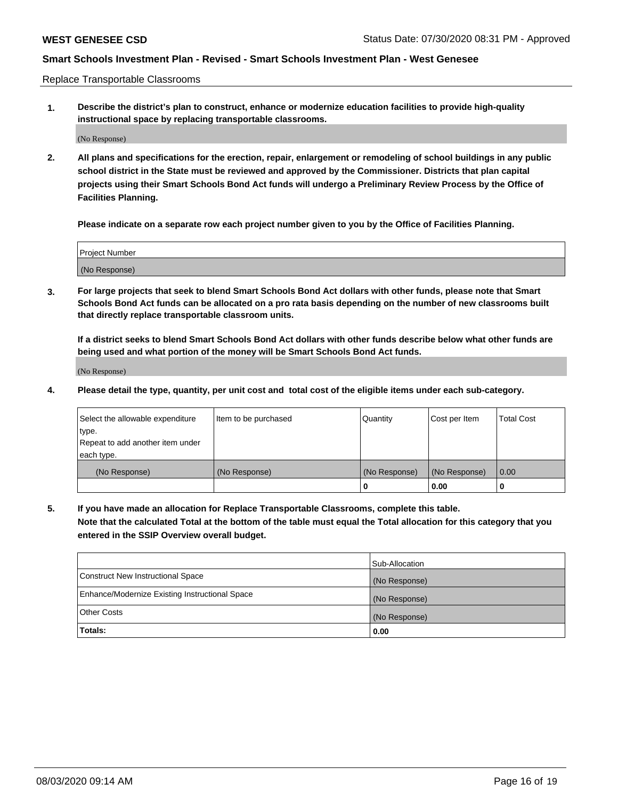Replace Transportable Classrooms

**1. Describe the district's plan to construct, enhance or modernize education facilities to provide high-quality instructional space by replacing transportable classrooms.**

(No Response)

**2. All plans and specifications for the erection, repair, enlargement or remodeling of school buildings in any public school district in the State must be reviewed and approved by the Commissioner. Districts that plan capital projects using their Smart Schools Bond Act funds will undergo a Preliminary Review Process by the Office of Facilities Planning.**

**Please indicate on a separate row each project number given to you by the Office of Facilities Planning.**

| Project Number |  |
|----------------|--|
|                |  |
|                |  |
|                |  |
|                |  |
| (No Response)  |  |
|                |  |
|                |  |
|                |  |

**3. For large projects that seek to blend Smart Schools Bond Act dollars with other funds, please note that Smart Schools Bond Act funds can be allocated on a pro rata basis depending on the number of new classrooms built that directly replace transportable classroom units.**

**If a district seeks to blend Smart Schools Bond Act dollars with other funds describe below what other funds are being used and what portion of the money will be Smart Schools Bond Act funds.**

(No Response)

**4. Please detail the type, quantity, per unit cost and total cost of the eligible items under each sub-category.**

| Select the allowable expenditure | Item to be purchased | Quantity      | Cost per Item | Total Cost |
|----------------------------------|----------------------|---------------|---------------|------------|
| ∣type.                           |                      |               |               |            |
| Repeat to add another item under |                      |               |               |            |
| each type.                       |                      |               |               |            |
| (No Response)                    | (No Response)        | (No Response) | (No Response) | 0.00       |
|                                  |                      | u             | 0.00          |            |

**5. If you have made an allocation for Replace Transportable Classrooms, complete this table. Note that the calculated Total at the bottom of the table must equal the Total allocation for this category that you entered in the SSIP Overview overall budget.**

|                                                | Sub-Allocation |
|------------------------------------------------|----------------|
| Construct New Instructional Space              | (No Response)  |
| Enhance/Modernize Existing Instructional Space | (No Response)  |
| <b>Other Costs</b>                             | (No Response)  |
| Totals:                                        | 0.00           |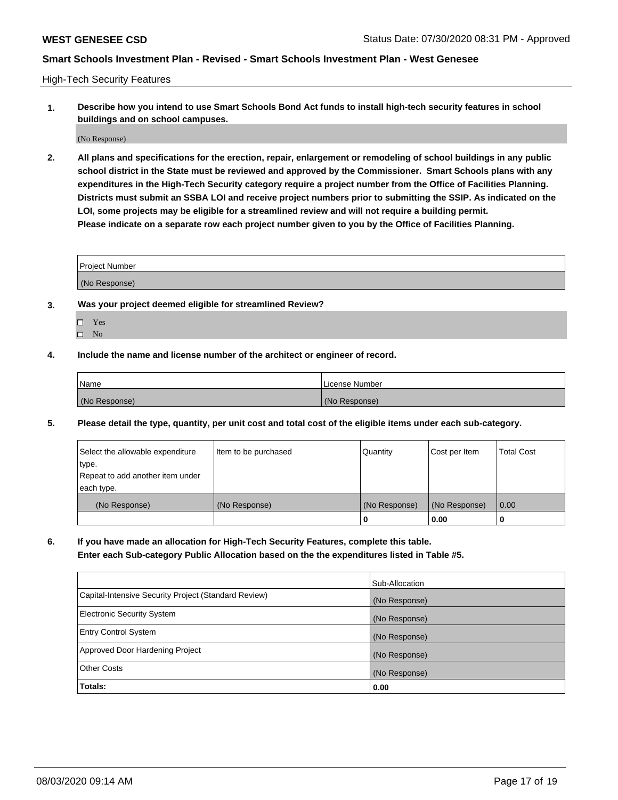High-Tech Security Features

**1. Describe how you intend to use Smart Schools Bond Act funds to install high-tech security features in school buildings and on school campuses.**

(No Response)

**2. All plans and specifications for the erection, repair, enlargement or remodeling of school buildings in any public school district in the State must be reviewed and approved by the Commissioner. Smart Schools plans with any expenditures in the High-Tech Security category require a project number from the Office of Facilities Planning. Districts must submit an SSBA LOI and receive project numbers prior to submitting the SSIP. As indicated on the LOI, some projects may be eligible for a streamlined review and will not require a building permit. Please indicate on a separate row each project number given to you by the Office of Facilities Planning.**

| <b>Project Number</b> |  |
|-----------------------|--|
| (No Response)         |  |

- **3. Was your project deemed eligible for streamlined Review?**
	- Yes
	- $\hfill \square$  No
- **4. Include the name and license number of the architect or engineer of record.**

| <b>Name</b>   | License Number |
|---------------|----------------|
| (No Response) | (No Response)  |

**5. Please detail the type, quantity, per unit cost and total cost of the eligible items under each sub-category.**

| Select the allowable expenditure | Item to be purchased | Quantity      | Cost per Item | <b>Total Cost</b> |
|----------------------------------|----------------------|---------------|---------------|-------------------|
| type.                            |                      |               |               |                   |
| Repeat to add another item under |                      |               |               |                   |
| each type.                       |                      |               |               |                   |
| (No Response)                    | (No Response)        | (No Response) | (No Response) | 0.00              |
|                                  |                      | 0             | 0.00          |                   |

**6. If you have made an allocation for High-Tech Security Features, complete this table.**

**Enter each Sub-category Public Allocation based on the the expenditures listed in Table #5.**

|                                                      | Sub-Allocation |
|------------------------------------------------------|----------------|
| Capital-Intensive Security Project (Standard Review) | (No Response)  |
| <b>Electronic Security System</b>                    | (No Response)  |
| <b>Entry Control System</b>                          | (No Response)  |
| Approved Door Hardening Project                      | (No Response)  |
| <b>Other Costs</b>                                   | (No Response)  |
| <b>Totals:</b>                                       | 0.00           |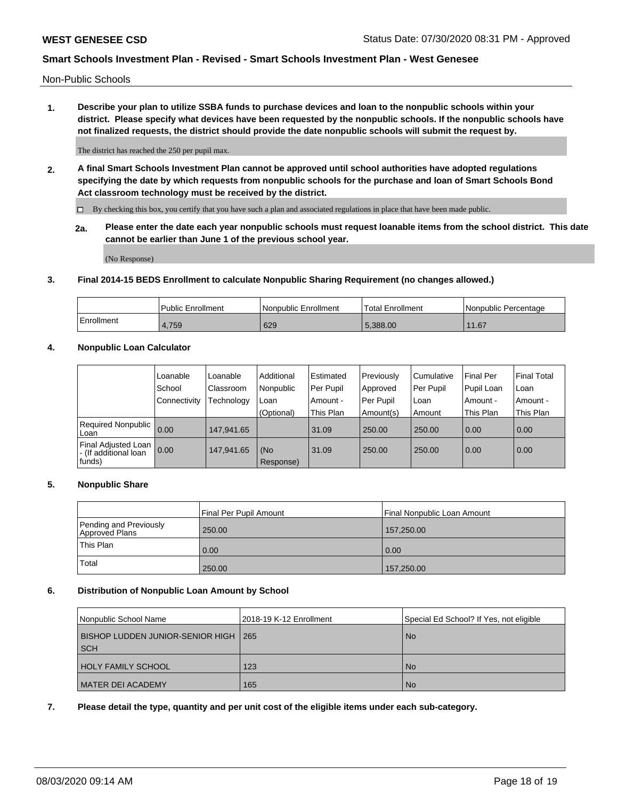Non-Public Schools

**1. Describe your plan to utilize SSBA funds to purchase devices and loan to the nonpublic schools within your district. Please specify what devices have been requested by the nonpublic schools. If the nonpublic schools have not finalized requests, the district should provide the date nonpublic schools will submit the request by.**

The district has reached the 250 per pupil max.

**2. A final Smart Schools Investment Plan cannot be approved until school authorities have adopted regulations specifying the date by which requests from nonpublic schools for the purchase and loan of Smart Schools Bond Act classroom technology must be received by the district.**

By checking this box, you certify that you have such a plan and associated regulations in place that have been made public.

**2a. Please enter the date each year nonpublic schools must request loanable items from the school district. This date cannot be earlier than June 1 of the previous school year.**

(No Response)

### **3. Final 2014-15 BEDS Enrollment to calculate Nonpublic Sharing Requirement (no changes allowed.)**

|            | Public Enrollment | Nonpublic Enrollment | Total Enrollment | l Nonpublic Percentage                        |
|------------|-------------------|----------------------|------------------|-----------------------------------------------|
| Enrollment | 4,759             | 629                  | 5.388.00         | 1.67<br>$\begin{array}{c} 4 \\ 4 \end{array}$ |

# **4. Nonpublic Loan Calculator**

|                                                        | Loanable     | Loanable   | Additional       | Estimated | Previously | Cumulative | Final Per  | <b>Final Total</b> |
|--------------------------------------------------------|--------------|------------|------------------|-----------|------------|------------|------------|--------------------|
|                                                        | School       | Classroom  | Nonpublic        | Per Pupil | Approved   | Per Pupil  | Pupil Loan | Loan               |
|                                                        | Connectivity | Technology | Loan             | Amount -  | Per Pupil  | Loan       | Amount -   | Amount -           |
|                                                        |              |            | (Optional)       | This Plan | Amount(s)  | Amount     | This Plan  | This Plan          |
| Required Nonpublic<br>Loan                             | 0.00         | 147.941.65 |                  | 31.09     | 250.00     | 250.00     | 0.00       | 0.00               |
| Final Adjusted Loan<br>- (If additional loan<br>funds) | 0.00         | 147.941.65 | (No<br>Response) | 31.09     | 250.00     | 250.00     | 0.00       | 0.00               |

### **5. Nonpublic Share**

|                                          | Final Per Pupil Amount | Final Nonpublic Loan Amount |
|------------------------------------------|------------------------|-----------------------------|
| Pending and Previously<br>Approved Plans | 250.00                 | 157,250.00                  |
| This Plan                                | 0.00                   | 0.00                        |
| Total                                    | 250.00                 | 157,250.00                  |

### **6. Distribution of Nonpublic Loan Amount by School**

| Nonpublic School Name                  | 2018-19 K-12 Enrollment | Special Ed School? If Yes, not eligible |
|----------------------------------------|-------------------------|-----------------------------------------|
| BISHOP LUDDEN JUNIOR-SENIOR HIGH   265 |                         | <b>No</b>                               |
| <b>SCH</b>                             |                         |                                         |
| <b>HOLY FAMILY SCHOOL</b>              | 123                     | <b>No</b>                               |
| MATER DEI ACADEMY                      | 165                     | <b>No</b>                               |

**7. Please detail the type, quantity and per unit cost of the eligible items under each sub-category.**